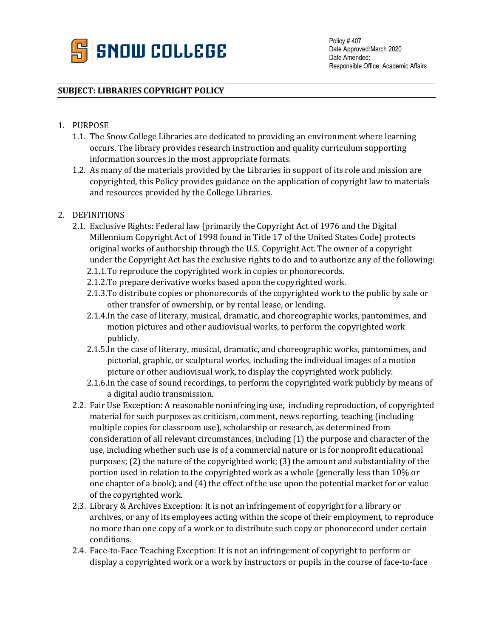

## **SUBJECT: LIBRARIES COPYRIGHT POLICY**

- 1. PURPOSE
	- 1.1. The Snow College Libraries are dedicated to providing an environment where learning occurs. The library provides research instruction and quality curriculum supporting information sources in the most appropriate formats.
	- 1.2. As many of the materials provided by the Libraries in support of its role and mission are copyrighted, this Policy provides guidance on the application of copyright law to materials and resources provided by the College Libraries.
- 2. DEFINITIONS
	- 2.1. Exclusive Rights: Federal law (primarily the Copyright Act of 1976 and the Digital Millennium Copyright Act of 1998 found in Title 17 of the United States Code) protects original works of authorship through the U.S. Copyright Act. The owner of a copyright under the Copyright Act has the exclusive rights to do and to authorize any of the following:
		- 2.1.1.To reproduce the copyrighted work in copies or phonorecords.
		- 2.1.2.To prepare derivative works based upon the copyrighted work.
		- 2.1.3.To distribute copies or phonorecords of the copyrighted work to the public by sale or other transfer of ownership, or by rental lease, or lending.
		- 2.1.4.In the case of literary, musical, dramatic, and choreographic works, pantomimes, and motion pictures and other audiovisual works, to perform the copyrighted work publicly.
		- 2.1.5.In the case of literary, musical, dramatic, and choreographic works, pantomimes, and pictorial, graphic, or sculptural works, including the individual images of a motion picture or other audiovisual work, to display the copyrighted work publicly.
		- 2.1.6.In the case of sound recordings, to perform the copyrighted work publicly by means of a digital audio transmission.
	- 2.2. Fair Use Exception: A reasonable noninfringing use, including reproduction, of copyrighted material for such purposes as criticism, comment, news reporting, teaching (including multiple copies for classroom use), scholarship or research, as determined from consideration of all relevant circumstances, including (1) the purpose and character of the use, including whether such use is of a commercial nature or is for nonprofit educational purposes; (2) the nature of the copyrighted work; (3) the amount and substantiality of the portion used in relation to the copyrighted work as a whole (generally less than 10% or one chapter of a book); and (4) the effect of the use upon the potential market for or value of the copyrighted work.
	- 2.3. Library & Archives Exception: It is not an infringement of copyright for a library or archives, or any of its employees acting within the scope of their employment, to reproduce no more than one copy of a work or to distribute such copy or phonorecord under certain conditions.
	- 2.4. Face-to-Face Teaching Exception: It is not an infringement of copyright to perform or display a copyrighted work or a work by instructors or pupils in the course of face-to-face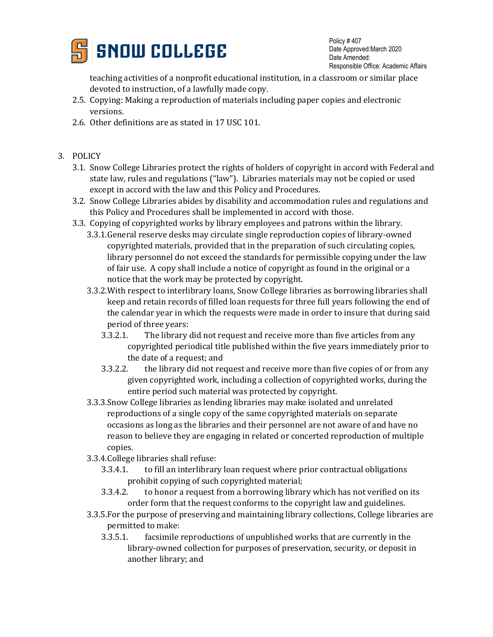

Policy # 407 Date Approved:March 2020 Date Amended: Responsible Office: Academic Affairs

teaching activities of a nonprofit educational institution, in a classroom or similar place devoted to instruction, of a lawfully made copy.

- 2.5. Copying: Making a reproduction of materials including paper copies and electronic versions.
- 2.6. Other definitions are as stated in 17 USC 101.
- 3. POLICY
	- 3.1. Snow College Libraries protect the rights of holders of copyright in accord with Federal and state law, rules and regulations ("law"). Libraries materials may not be copied or used except in accord with the law and this Policy and Procedures.
	- 3.2. Snow College Libraries abides by disability and accommodation rules and regulations and this Policy and Procedures shall be implemented in accord with those.
	- 3.3. Copying of copyrighted works by library employees and patrons within the library.
		- 3.3.1.General reserve desks may circulate single reproduction copies of library-owned copyrighted materials, provided that in the preparation of such circulating copies, library personnel do not exceed the standards for permissible copying under the law of fair use. A copy shall include a notice of copyright as found in the original or a notice that the work may be protected by copyright.
		- 3.3.2.With respect to interlibrary loans, Snow College libraries as borrowing libraries shall keep and retain records of filled loan requests for three full years following the end of the calendar year in which the requests were made in order to insure that during said period of three years:
			- 3.3.2.1. The library did not request and receive more than five articles from any copyrighted periodical title published within the five years immediately prior to the date of a request; and<br>3.3.2.2. the library did not request
			- the library did not request and receive more than five copies of or from any given copyrighted work, including a collection of copyrighted works, during the entire period such material was protected by copyright.
		- 3.3.3.Snow College libraries as lending libraries may make isolated and unrelated reproductions of a single copy of the same copyrighted materials on separate occasions as long as the libraries and their personnel are not aware of and have no reason to believe they are engaging in related or concerted reproduction of multiple copies.
		- 3.3.4.College libraries shall refuse:
			- to fill an interlibrary loan request where prior contractual obligations
			- prohibit copying of such copyrighted material;<br>3.3.4.2. to honor a request from a borrowing librar to honor a request from a borrowing library which has not verified on its order form that the request conforms to the copyright law and guidelines.
		- 3.3.5.For the purpose of preserving and maintaining library collections, College libraries are permitted to make:
			- 3.3.5.1. facsimile reproductions of unpublished works that are currently in the library-owned collection for purposes of preservation, security, or deposit in another library; and